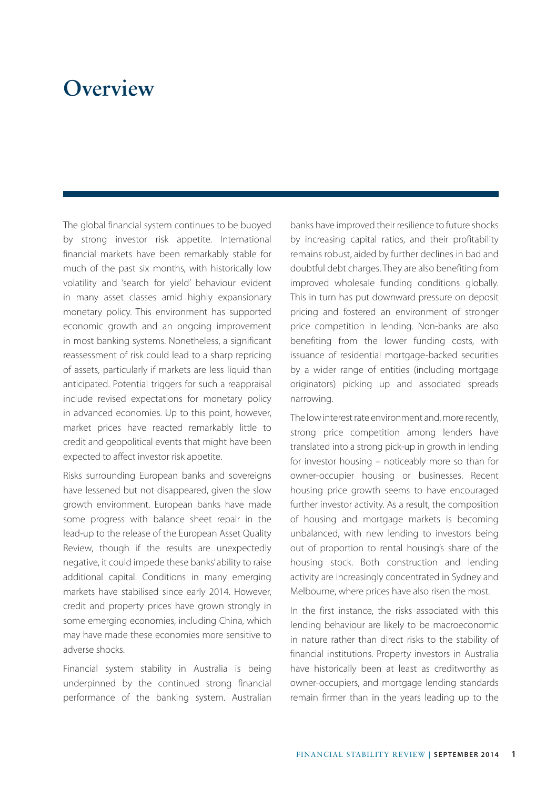## **Overview**

The global financial system continues to be buoyed by strong investor risk appetite. International financial markets have been remarkably stable for much of the past six months, with historically low volatility and 'search for yield' behaviour evident in many asset classes amid highly expansionary monetary policy. This environment has supported economic growth and an ongoing improvement in most banking systems. Nonetheless, a significant reassessment of risk could lead to a sharp repricing of assets, particularly if markets are less liquid than anticipated. Potential triggers for such a reappraisal include revised expectations for monetary policy in advanced economies. Up to this point, however, market prices have reacted remarkably little to credit and geopolitical events that might have been expected to affect investor risk appetite.

Risks surrounding European banks and sovereigns have lessened but not disappeared, given the slow growth environment. European banks have made some progress with balance sheet repair in the lead-up to the release of the European Asset Quality Review, though if the results are unexpectedly negative, it could impede these banks' ability to raise additional capital. Conditions in many emerging markets have stabilised since early 2014. However, credit and property prices have grown strongly in some emerging economies, including China, which may have made these economies more sensitive to adverse shocks.

Financial system stability in Australia is being underpinned by the continued strong financial performance of the banking system. Australian banks have improved their resilience to future shocks by increasing capital ratios, and their profitability remains robust, aided by further declines in bad and doubtful debt charges. They are also benefiting from improved wholesale funding conditions globally. This in turn has put downward pressure on deposit pricing and fostered an environment of stronger price competition in lending. Non-banks are also benefiting from the lower funding costs, with issuance of residential mortgage-backed securities by a wider range of entities (including mortgage originators) picking up and associated spreads narrowing.

The low interest rate environment and, more recently, strong price competition among lenders have translated into a strong pick-up in growth in lending for investor housing – noticeably more so than for owner-occupier housing or businesses. Recent housing price growth seems to have encouraged further investor activity. As a result, the composition of housing and mortgage markets is becoming unbalanced, with new lending to investors being out of proportion to rental housing's share of the housing stock. Both construction and lending activity are increasingly concentrated in Sydney and Melbourne, where prices have also risen the most.

In the first instance, the risks associated with this lending behaviour are likely to be macroeconomic in nature rather than direct risks to the stability of financial institutions. Property investors in Australia have historically been at least as creditworthy as owner-occupiers, and mortgage lending standards remain firmer than in the years leading up to the